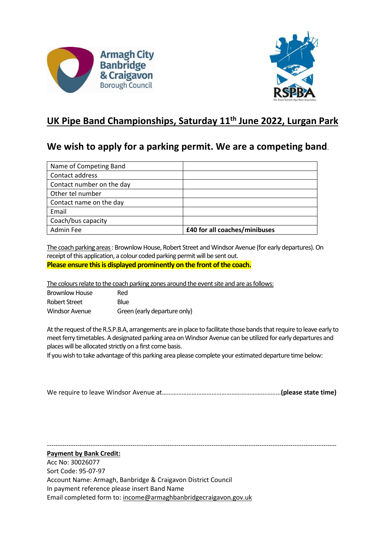



## **UK Pipe Band Championships, Saturday 11th June 2022, Lurgan Park**

## **We wish to apply for a parking permit. We are a competing band**.

| Name of Competing Band    |                               |
|---------------------------|-------------------------------|
| Contact address           |                               |
| Contact number on the day |                               |
| Other tel number          |                               |
| Contact name on the day   |                               |
| Email                     |                               |
| Coach/bus capacity        |                               |
| Admin Fee                 | £40 for all coaches/minibuses |

The coach parking areas : Brownlow House, Robert Street and Windsor Avenue (for early departures). On receipt of this application, a colour coded parking permit will be sent out. **Please ensure this is displayed prominently on the front of the coach.**

The colours relate to the coach parking zones around the event site and are as follows:

| <b>Brownlow House</b> | Red                          |
|-----------------------|------------------------------|
| Robert Street         | Blue                         |
| <b>Windsor Avenue</b> | Green (early departure only) |

At the request of the R.S.P.B.A, arrangements are in place to facilitate those bands that require to leave early to meet ferry timetables. A designated parking area on Windsor Avenue can be utilized for early departures and places will be allocated strictly on a first come basis.

If you wish to take advantage of this parking area please complete your estimated departure time below:

|--|--|

------------------------------------------------------------------------------------------------------------------------------------

**Payment by Bank Credit:** Acc No: 30026077

Sort Code: 95-07-97 Account Name: Armagh, Banbridge & Craigavon District Council In payment reference please insert Band Name Email completed form to: income@armaghbanbridgecraigavon.gov.uk